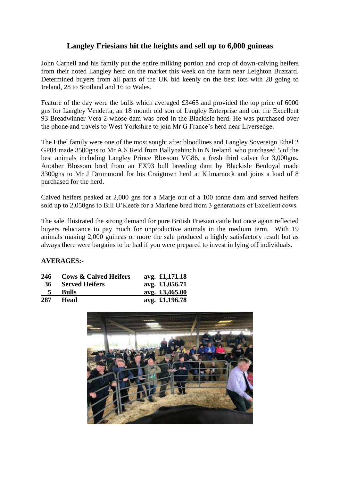## **Langley Friesians hit the heights and sell up to 6,000 guineas**

John Carnell and his family put the entire milking portion and crop of down-calving heifers from their noted Langley herd on the market this week on the farm near Leighton Buzzard. Determined buyers from all parts of the UK bid keenly on the best lots with 28 going to Ireland, 28 to Scotland and 16 to Wales.

Feature of the day were the bulls which averaged £3465 and provided the top price of 6000 gns for Langley Vendetta, an 18 month old son of Langley Enterprise and out the Excellent 93 Breadwinner Vera 2 whose dam was bred in the Blackisle herd. He was purchased over the phone and travels to West Yorkshire to join Mr G France's herd near Liversedge.

The Ethel family were one of the most sought after bloodlines and Langley Sovereign Ethel 2 GP84 made 3500gns to Mr A.S Reid from Ballynahinch in N Ireland, who purchased 5 of the best animals including Langley Prince Blossom VG86, a fresh third calver for 3,000gns. Another Blossom bred from an EX93 bull breeding dam by Blackisle Benloyal made 3300gns to Mr J Drummond for his Craigtown herd at Kilmarnock and joins a load of 8 purchased for the herd.

Calved heifers peaked at 2,000 gns for a Marje out of a 100 tonne dam and served heifers sold up to 2,050gns to Bill O'Keefe for a Marlene bred from 3 generations of Excellent cows.

The sale illustrated the strong demand for pure British Friesian cattle but once again reflected buyers reluctance to pay much for unproductive animals in the medium term. With 19 animals making 2,000 guineas or more the sale produced a highly satisfactory result but as always there were bargains to be had if you were prepared to invest in lying off individuals.

## **AVERAGES:-**

| 246       | <b>Cows &amp; Calved Heifers</b> | avg. £1,171.18 |
|-----------|----------------------------------|----------------|
| <b>36</b> | <b>Served Heifers</b>            | avg. £1,056.71 |
| 5         | <b>Bulls</b>                     | avg. £3,465.00 |
| 287       | <b>Head</b>                      | avg. £1,196.78 |